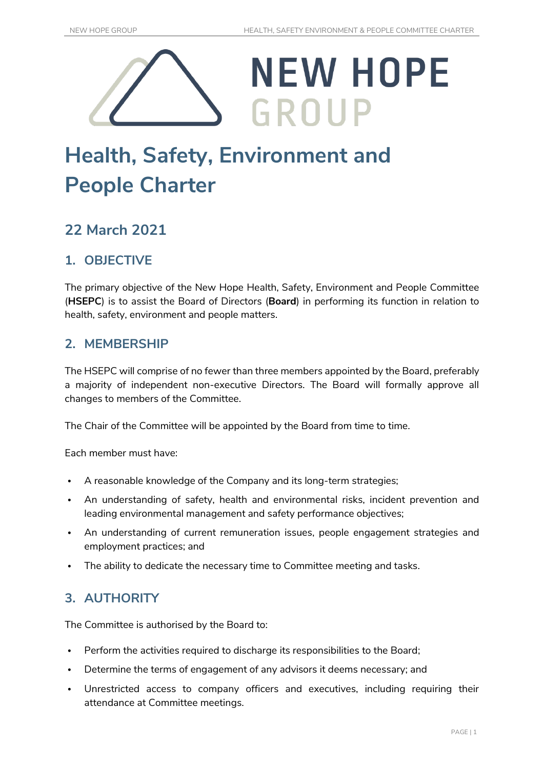

# **Health, Safety, Environment and People Charter**

## **22 March 2021**

### **1. OBJECTIVE**

The primary objective of the New Hope Health, Safety, Environment and People Committee (**HSEPC**) is to assist the Board of Directors (**Board**) in performing its function in relation to health, safety, environment and people matters.

#### **2. MEMBERSHIP**

The HSEPC will comprise of no fewer than three members appointed by the Board, preferably a majority of independent non-executive Directors. The Board will formally approve all changes to members of the Committee.

The Chair of the Committee will be appointed by the Board from time to time.

Each member must have:

- A reasonable knowledge of the Company and its long-term strategies;
- An understanding of safety, health and environmental risks, incident prevention and leading environmental management and safety performance objectives;
- An understanding of current remuneration issues, people engagement strategies and employment practices; and
- The ability to dedicate the necessary time to Committee meeting and tasks.

#### **3. AUTHORITY**

The Committee is authorised by the Board to:

- Perform the activities required to discharge its responsibilities to the Board;
- Determine the terms of engagement of any advisors it deems necessary; and
- Unrestricted access to company officers and executives, including requiring their attendance at Committee meetings.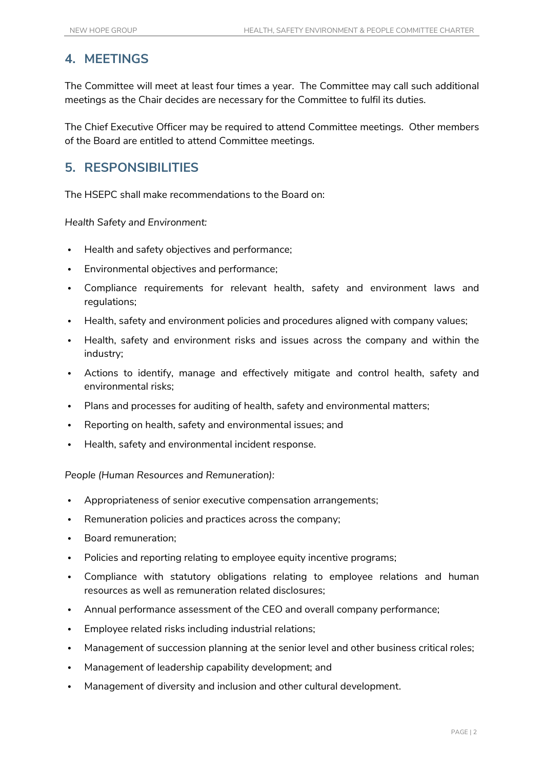#### **4. MEETINGS**

The Committee will meet at least four times a year. The Committee may call such additional meetings as the Chair decides are necessary for the Committee to fulfil its duties.

The Chief Executive Officer may be required to attend Committee meetings. Other members of the Board are entitled to attend Committee meetings.

#### **5. RESPONSIBILITIES**

The HSEPC shall make recommendations to the Board on:

*Health Safety and Environment:*

- Health and safety objectives and performance;
- Environmental objectives and performance;
- Compliance requirements for relevant health, safety and environment laws and regulations;
- Health, safety and environment policies and procedures aligned with company values;
- Health, safety and environment risks and issues across the company and within the industry;
- Actions to identify, manage and effectively mitigate and control health, safety and environmental risks;
- Plans and processes for auditing of health, safety and environmental matters;
- Reporting on health, safety and environmental issues; and
- Health, safety and environmental incident response.

*People (Human Resources and Remuneration):*

- Appropriateness of senior executive compensation arrangements;
- Remuneration policies and practices across the company;
- Board remuneration;
- Policies and reporting relating to employee equity incentive programs;
- Compliance with statutory obligations relating to employee relations and human resources as well as remuneration related disclosures;
- Annual performance assessment of the CEO and overall company performance;
- Employee related risks including industrial relations;
- Management of succession planning at the senior level and other business critical roles;
- Management of leadership capability development; and
- Management of diversity and inclusion and other cultural development.